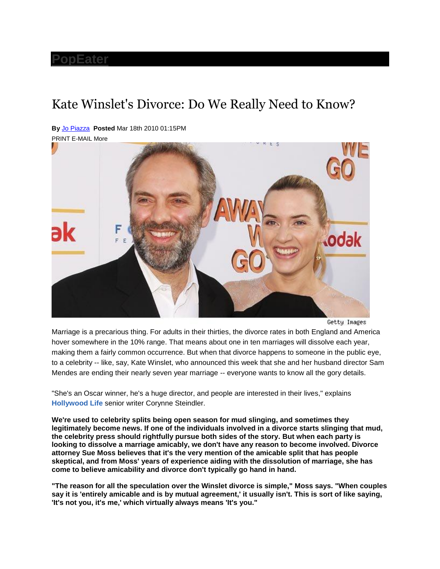## **[PopEater](http://www.popeater.com/)**

## Kate Winslet's Divorce: Do We Really Need to Know?

**By** [Jo Piazza](http://www.popeater.com/bloggers/jo-piazza/) **Posted** Mar 18th 2010 01:15PM

PRINT E-MAIL More



Getty Images

Marriage is a precarious thing. For adults in their thirties, the divorce rates in both England and America hover somewhere in the 10% range. That means about one in ten marriages will dissolve each year, making them a fairly common occurrence. But when that divorce happens to someone in the public eye, to a celebrity -- like, say, Kate Winslet, who announced this week that she and her husband director Sam Mendes are ending their nearly seven year marriage -- everyone wants to know all the gory details.

"She's an Oscar winner, he's a huge director, and people are interested in their lives," explains **[Hollywood Life](http://www.hollywoodlife.com/)** senior writer Corynne Steindler.

**We're used to celebrity splits being open season for mud slinging, and sometimes they legitimately become news. If one of the individuals involved in a divorce starts slinging that mud, the celebrity press should rightfully pursue both sides of the story. But when each party is looking to dissolve a marriage amicably, we don't have any reason to become involved. Divorce attorney Sue Moss believes that it's the very mention of the amicable split that has people skeptical, and from Moss' years of experience aiding with the dissolution of marriage, she has come to believe amicability and divorce don't typically go hand in hand.**

**"The reason for all the speculation over the Winslet divorce is simple," Moss says. "When couples say it is 'entirely amicable and is by mutual agreement,' it usually isn't. This is sort of like saying, 'It's not you, it's me,' which virtually always means 'It's you."**